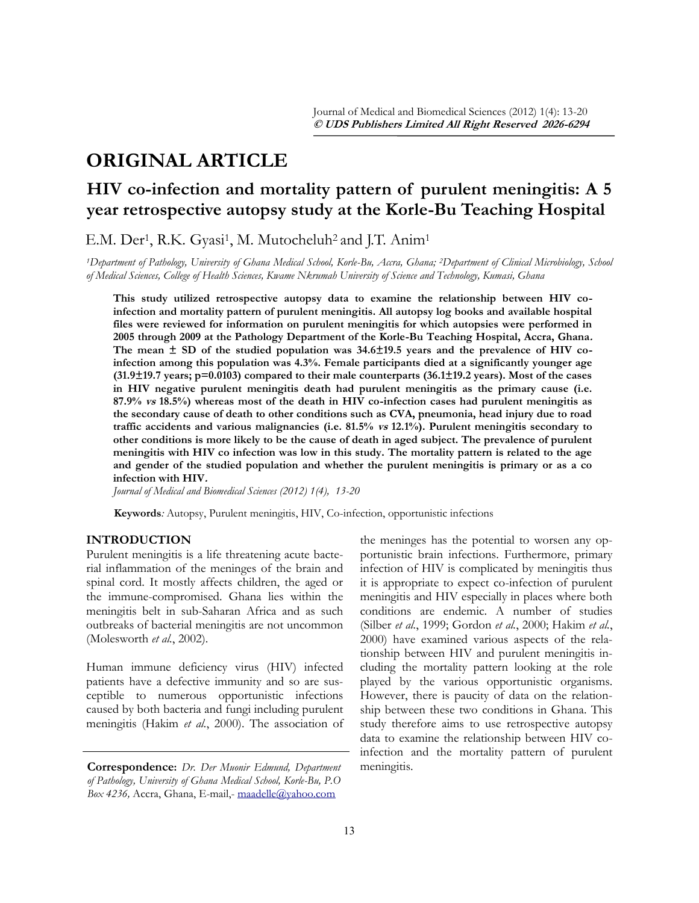# **ORIGINAL ARTICLE**

## **HIV co-infection and mortality pattern of purulent meningitis: A 5 year retrospective autopsy study at the Korle-Bu Teaching Hospital**

E.M. Der<sup>1</sup>, R.K. Gyasi<sup>1</sup>, M. Mutocheluh<sup>2</sup> and J.T. Anim<sup>1</sup>

*<sup>1</sup>Department of Pathology, University of Ghana Medical School, Korle-Bu, Accra, Ghana; 2Department of Clinical Microbiology, School of Medical Sciences, College of Health Sciences, Kwame Nkrumah University of Science and Technology, Kumasi, Ghana*

**This study utilized retrospective autopsy data to examine the relationship between HIV coinfection and mortality pattern of purulent meningitis. All autopsy log books and available hospital files were reviewed for information on purulent meningitis for which autopsies were performed in 2005 through 2009 at the Pathology Department of the Korle-Bu Teaching Hospital, Accra, Ghana. The mean ± SD of the studied population was 34.6±19.5 years and the prevalence of HIV coinfection among this population was 4.3%. Female participants died at a significantly younger age (31.9±19.7 years; p=0.0103) compared to their male counterparts (36.1±19.2 years). Most of the cases in HIV negative purulent meningitis death had purulent meningitis as the primary cause (i.e. 87.9% vs 18.5%) whereas most of the death in HIV co-infection cases had purulent meningitis as the secondary cause of death to other conditions such as CVA, pneumonia, head injury due to road traffic accidents and various malignancies (i.e. 81.5% vs 12.1%). Purulent meningitis secondary to other conditions is more likely to be the cause of death in aged subject. The prevalence of purulent meningitis with HIV co infection was low in this study. The mortality pattern is related to the age and gender of the studied population and whether the purulent meningitis is primary or as a co infection with HIV.** 

*Journal of Medical and Biomedical Sciences (2012) 1(4), 13-20*

**Keywords***:* Autopsy, Purulent meningitis, HIV, Co-infection, opportunistic infections

## **INTRODUCTION**

Purulent meningitis is a life threatening acute bacterial inflammation of the meninges of the brain and spinal cord. It mostly affects children, the aged or the immune-compromised. Ghana lies within the meningitis belt in sub-Saharan Africa and as such outbreaks of bacterial meningitis are not uncommon (Molesworth *et al.*, 2002).

Human immune deficiency virus (HIV) infected patients have a defective immunity and so are susceptible to numerous opportunistic infections caused by both bacteria and fungi including purulent meningitis (Hakim *et al.*, 2000). The association of the meninges has the potential to worsen any opportunistic brain infections. Furthermore, primary infection of HIV is complicated by meningitis thus it is appropriate to expect co-infection of purulent meningitis and HIV especially in places where both conditions are endemic. A number of studies (Silber *et al.*, 1999; Gordon *et al.*, 2000; Hakim *et al.*, 2000) have examined various aspects of the relationship between HIV and purulent meningitis including the mortality pattern looking at the role played by the various opportunistic organisms. However, there is paucity of data on the relationship between these two conditions in Ghana. This study therefore aims to use retrospective autopsy data to examine the relationship between HIV coinfection and the mortality pattern of purulent meningitis.

**Correspondence:** *Dr. Der Muonir Edmund, Department of Pathology, University of Ghana Medical School, Korle-Bu, P.O*  Box 4236, Accra, Ghana, E-mail,- [maadelle@yahoo.com](mailto:maadelle@yahoo.com)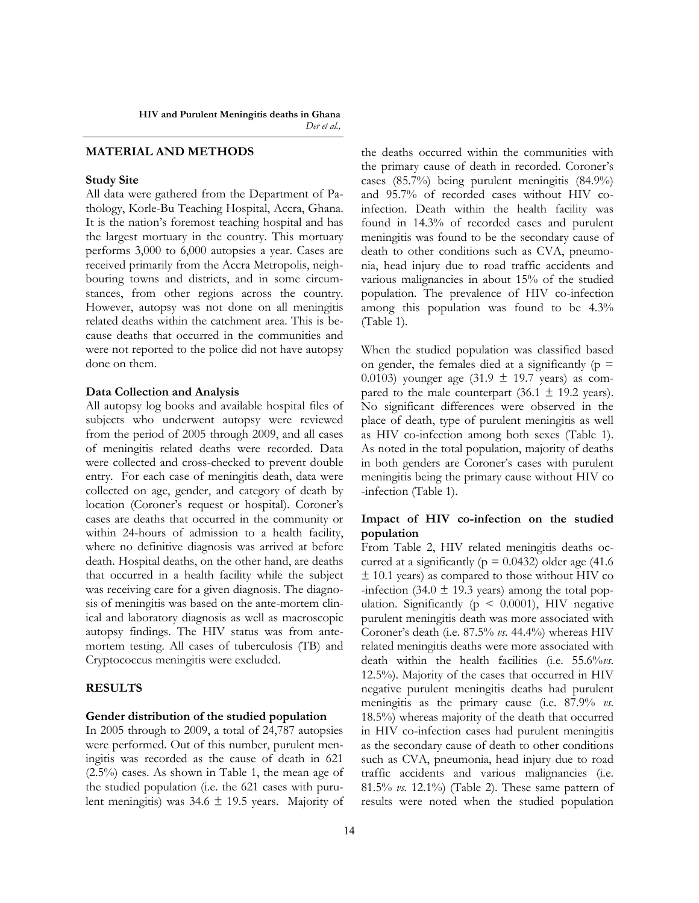## **MATERIAL AND METHODS**

## **Study Site**

All data were gathered from the Department of Pathology, Korle-Bu Teaching Hospital, Accra, Ghana. It is the nation"s foremost teaching hospital and has the largest mortuary in the country. This mortuary performs 3,000 to 6,000 autopsies a year. Cases are received primarily from the Accra Metropolis, neighbouring towns and districts, and in some circumstances, from other regions across the country. However, autopsy was not done on all meningitis related deaths within the catchment area. This is because deaths that occurred in the communities and were not reported to the police did not have autopsy done on them.

#### **Data Collection and Analysis**

All autopsy log books and available hospital files of subjects who underwent autopsy were reviewed from the period of 2005 through 2009, and all cases of meningitis related deaths were recorded. Data were collected and cross-checked to prevent double entry. For each case of meningitis death, data were collected on age, gender, and category of death by location (Coroner's request or hospital). Coroner's cases are deaths that occurred in the community or within 24-hours of admission to a health facility, where no definitive diagnosis was arrived at before death. Hospital deaths, on the other hand, are deaths that occurred in a health facility while the subject was receiving care for a given diagnosis. The diagnosis of meningitis was based on the ante-mortem clinical and laboratory diagnosis as well as macroscopic autopsy findings. The HIV status was from antemortem testing. All cases of tuberculosis (TB) and Cryptococcus meningitis were excluded.

## **RESULTS**

#### **Gender distribution of the studied population**

In 2005 through to 2009, a total of 24,787 autopsies were performed. Out of this number, purulent meningitis was recorded as the cause of death in 621 (2.5%) cases. As shown in Table 1, the mean age of the studied population (i.e. the 621 cases with purulent meningitis) was  $34.6 \pm 19.5$  years. Majority of the deaths occurred within the communities with the primary cause of death in recorded. Coroner"s cases (85.7%) being purulent meningitis (84.9%) and 95.7% of recorded cases without HIV coinfection. Death within the health facility was found in 14.3% of recorded cases and purulent meningitis was found to be the secondary cause of death to other conditions such as CVA, pneumonia, head injury due to road traffic accidents and various malignancies in about 15% of the studied population. The prevalence of HIV co-infection among this population was found to be 4.3% (Table 1).

When the studied population was classified based on gender, the females died at a significantly ( $p =$ 0.0103) younger age (31.9  $\pm$  19.7 years) as compared to the male counterpart (36.1  $\pm$  19.2 years). No significant differences were observed in the place of death, type of purulent meningitis as well as HIV co-infection among both sexes (Table 1). As noted in the total population, majority of deaths in both genders are Coroner's cases with purulent meningitis being the primary cause without HIV co -infection (Table 1).

## **Impact of HIV co-infection on the studied population**

From Table 2, HIV related meningitis deaths occurred at a significantly ( $p = 0.0432$ ) older age (41.6)  $±$  10.1 years) as compared to those without HIV co -infection (34.0  $\pm$  19.3 years) among the total population. Significantly ( $p \leq 0.0001$ ), HIV negative purulent meningitis death was more associated with Coroner"s death (i.e. 87.5% *vs.* 44.4%) whereas HIV related meningitis deaths were more associated with death within the health facilities (i.e. 55.6%*vs.* 12.5%). Majority of the cases that occurred in HIV negative purulent meningitis deaths had purulent meningitis as the primary cause (i.e. 87.9% *vs.* 18.5%) whereas majority of the death that occurred in HIV co-infection cases had purulent meningitis as the secondary cause of death to other conditions such as CVA, pneumonia, head injury due to road traffic accidents and various malignancies (i.e. 81.5% *vs.* 12.1%) (Table 2). These same pattern of results were noted when the studied population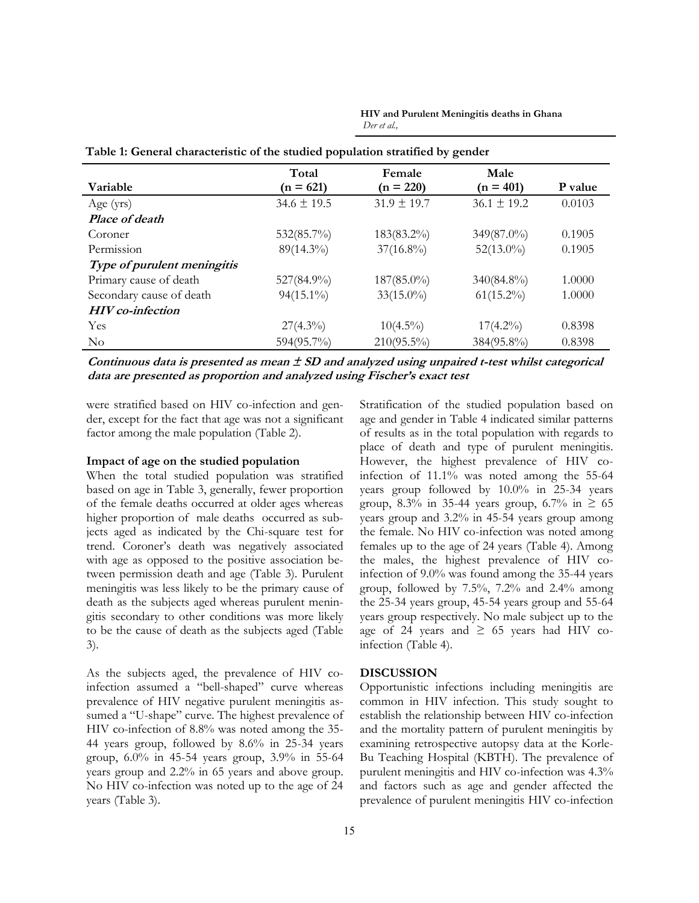|                             | Total           | Female          | Male            |         |
|-----------------------------|-----------------|-----------------|-----------------|---------|
| Variable                    | $(n = 621)$     | $(n = 220)$     | $(n = 401)$     | P value |
| Age $(yrs)$                 | $34.6 \pm 19.5$ | $31.9 \pm 19.7$ | $36.1 \pm 19.2$ | 0.0103  |
| Place of death              |                 |                 |                 |         |
| Coroner                     | $532(85.7\%)$   | $183(83.2\%)$   | 349(87.0%)      | 0.1905  |
| Permission                  | 89(14.3%)       | $37(16.8\%)$    | $52(13.0\%)$    | 0.1905  |
| Type of purulent meningitis |                 |                 |                 |         |
| Primary cause of death      | 527(84.9%)      | $187(85.0\%)$   | 340(84.8%)      | 1.0000  |
| Secondary cause of death    | $94(15.1\%)$    | $33(15.0\%)$    | $61(15.2\%)$    | 1.0000  |
| <b>HIV</b> co-infection     |                 |                 |                 |         |
| <b>Yes</b>                  | $27(4.3\%)$     | $10(4.5\%)$     | $17(4.2\%)$     | 0.8398  |
| $\rm No$                    | 594(95.7%)      | $210(95.5\%)$   | 384(95.8%)      | 0.8398  |

**Table 1: General characteristic of the studied population stratified by gender**

**HIV and Purulent Meningitis deaths in Ghana** *Der et al.,*

**Continuous data is presented as mean ± SD and analyzed using unpaired t-test whilst categorical data are presented as proportion and analyzed using Fischer's exact test**

were stratified based on HIV co-infection and gender, except for the fact that age was not a significant factor among the male population (Table 2).

## **Impact of age on the studied population**

When the total studied population was stratified based on age in Table 3, generally, fewer proportion of the female deaths occurred at older ages whereas higher proportion of male deaths occurred as subjects aged as indicated by the Chi-square test for trend. Coroner"s death was negatively associated with age as opposed to the positive association between permission death and age (Table 3). Purulent meningitis was less likely to be the primary cause of death as the subjects aged whereas purulent meningitis secondary to other conditions was more likely to be the cause of death as the subjects aged (Table 3).

As the subjects aged, the prevalence of HIV coinfection assumed a "bell-shaped" curve whereas prevalence of HIV negative purulent meningitis assumed a "U-shape" curve. The highest prevalence of HIV co-infection of 8.8% was noted among the 35- 44 years group, followed by 8.6% in 25-34 years group, 6.0% in 45-54 years group, 3.9% in 55-64 years group and 2.2% in 65 years and above group. No HIV co-infection was noted up to the age of 24 years (Table 3).

Stratification of the studied population based on age and gender in Table 4 indicated similar patterns of results as in the total population with regards to place of death and type of purulent meningitis. However, the highest prevalence of HIV coinfection of 11.1% was noted among the 55-64 years group followed by 10.0% in 25-34 years group, 8.3% in 35-44 years group, 6.7% in  $\geq$  65 years group and 3.2% in 45-54 years group among the female. No HIV co-infection was noted among females up to the age of 24 years (Table 4). Among the males, the highest prevalence of HIV coinfection of 9.0% was found among the 35-44 years group, followed by 7.5%, 7.2% and 2.4% among the 25-34 years group, 45-54 years group and 55-64 years group respectively. No male subject up to the age of 24 years and  $\geq$  65 years had HIV coinfection (Table 4).

## **DISCUSSION**

Opportunistic infections including meningitis are common in HIV infection. This study sought to establish the relationship between HIV co-infection and the mortality pattern of purulent meningitis by examining retrospective autopsy data at the Korle-Bu Teaching Hospital (KBTH). The prevalence of purulent meningitis and HIV co-infection was 4.3% and factors such as age and gender affected the prevalence of purulent meningitis HIV co-infection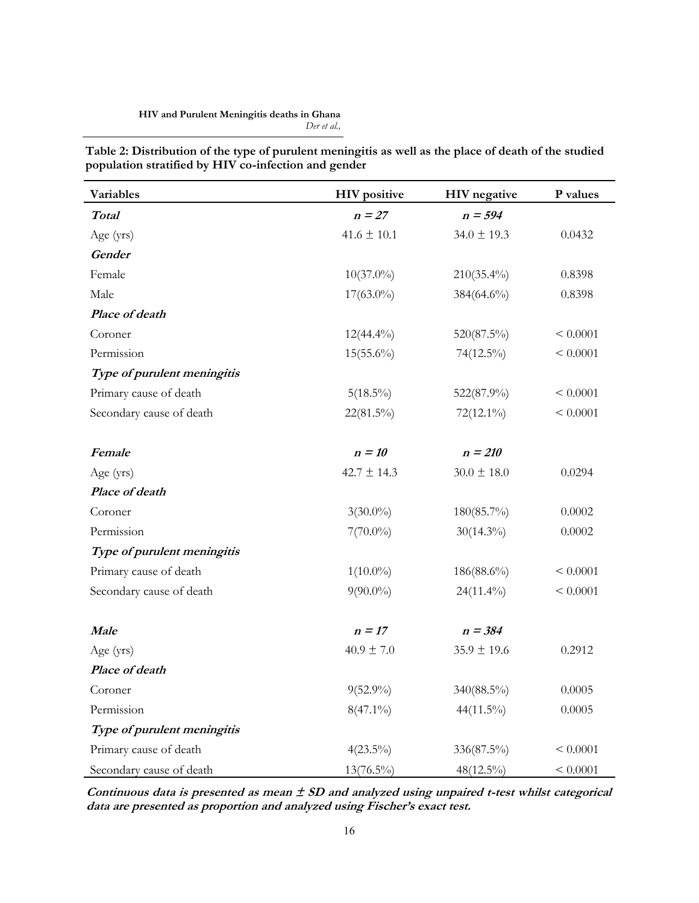#### **HIV and Purulent Meningitis deaths in Ghana** *Der et al.,*

**Table 2: Distribution of the type of purulent meningitis as well as the place of death of the studied population stratified by HIV co-infection and gender**

| Variables                   | <b>HIV</b> positive | <b>HIV</b> negative | P values |
|-----------------------------|---------------------|---------------------|----------|
| <b>Total</b>                | $n = 27$            | $n = 594$           |          |
| Age (yrs)                   | $41.6 \pm 10.1$     | $34.0 \pm 19.3$     | 0.0432   |
| Gender                      |                     |                     |          |
| Female                      | $10(37.0\%)$        | $210(35.4\%)$       | 0.8398   |
| Male                        | $17(63.0\%)$        | 384(64.6%)          | 0.8398   |
| Place of death              |                     |                     |          |
| Coroner                     | $12(44.4\%)$        | 520(87.5%)          | < 0.0001 |
| Permission                  | $15(55.6\%)$        | 74(12.5%)           | < 0.0001 |
| Type of purulent meningitis |                     |                     |          |
| Primary cause of death      | $5(18.5\%)$         | 522(87.9%)          | < 0.0001 |
| Secondary cause of death    | 22(81.5%)           | 72(12.1%)           | < 0.0001 |
|                             |                     |                     |          |
| Female                      | $n = 10$            | $n = 210$           |          |
| Age (yrs)                   | $42.7 \pm 14.3$     | $30.0 \pm 18.0$     | 0.0294   |
| Place of death              |                     |                     |          |
| Coroner                     | $3(30.0\%)$         | $180(85.7\%)$       | 0.0002   |
| Permission                  | $7(70.0\%)$         | $30(14.3\%)$        | 0.0002   |
| Type of purulent meningitis |                     |                     |          |
| Primary cause of death      | $1(10.0\%)$         | 186(88.6%)          | < 0.0001 |
| Secondary cause of death    | $9(90.0\%)$         | $24(11.4\%)$        | < 0.0001 |
|                             |                     |                     |          |
| <b>Male</b>                 | $n = 17$            | $n = 384$           |          |
| Age (yrs)                   | $40.9 \pm 7.0$      | $35.9 \pm 19.6$     | 0.2912   |
| Place of death              |                     |                     |          |
| Coroner                     | $9(52.9\%)$         | 340(88.5%)          | 0.0005   |
| Permission                  | $8(47.1\%)$         | 44(11.5%)           | 0.0005   |
| Type of purulent meningitis |                     |                     |          |
| Primary cause of death      | $4(23.5\%)$         | 336(87.5%)          | < 0.0001 |
| Secondary cause of death    | $13(76.5\%)$        | 48(12.5%)           | < 0.0001 |

**Continuous data is presented as mean ± SD and analyzed using unpaired t-test whilst categorical data are presented as proportion and analyzed using Fischer's exact test.**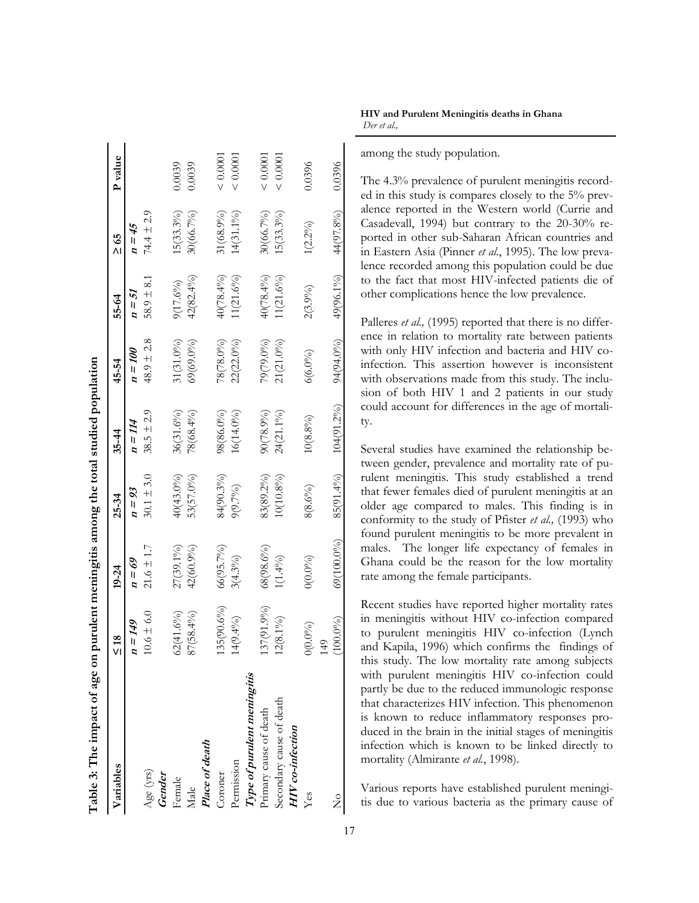| Table 3: The impact of age on |                | purulent meningitis among the total studied population |                |                |                |                |                |          |
|-------------------------------|----------------|--------------------------------------------------------|----------------|----------------|----------------|----------------|----------------|----------|
| Variables                     | $\leq 18$      | 19-24                                                  | $25 - 34$      | $35 - 44$      | 45-54          | 55-64          | $\geq 65$      | P value  |
|                               | $H = Hg$       | $\omega = 69$                                          | $n = 93$       | $n = 114$      | $m = 100$      | $n=51$         | $H = 45$       |          |
| Age (yrs)                     | $10.6 \pm 6.0$ | $21.6 \pm 1.7$                                         | $30.1 \pm 3.0$ | $38.5 \pm 2.9$ | $48.9 \pm 2.8$ | $58.9 \pm 8.1$ | $74.4 \pm 2.9$ |          |
| Gender                        |                |                                                        |                |                |                |                |                |          |
| Female                        | $62(41.6\%)$   | 27(39.1%)                                              | 40(43.0%)      | $36(31.6\%)$   | $31(31.0\%)$   | 9(17.6%)       | 15(33.3%)      | 0.0039   |
| Male                          | 87(58.4%)      | 42(60.9%)                                              | 53(57.0%)      | 78(68.4%)      | $(69(69.0\%)$  | $42(82.4\%)$   | 30(66.7%)      | 0.0039   |
| Place of death                |                |                                                        |                |                |                |                |                |          |
| Coroner                       | 135(90.6%)     | 66(95.7%)                                              | 84(90.3%)      | 98(86.0%)      | 78(78.0%)      | 40(78.4%)      | 31(68.9%)      | < 0.0001 |
| Permission                    | $14(9.4\%)$    | $3(4.3\%)$                                             | 9(9.7%)        | $16(14.0\%)$   | 22(22.0%)      | $(1(21.6\%)$   | $(4(31.1\%)$   | < 0.0001 |
| Type of purulent meningitis   |                |                                                        |                |                |                |                |                |          |
| Primary cause of death        | 137(91.9%)     | $68(98.6\%)$                                           | 83(89.2%)      | 90(78.9%)      | 79(79.0%)      | $40(78.4\%)$   | 30(66.7%)      | < 0.0001 |
| Secondary cause of death      | $12(8.1\%)$    | $1(1.4\%)$                                             | $10(10.8\%)$   | 24(21.1%)      | $21(21.0\%)$   | (1(21.6%)      | $15(33.3\%)$   | < 0.0001 |
| HIV co-infection              |                |                                                        |                |                |                |                |                |          |
| Yes                           | $0(0.0\%)$     | $O(0.0\%)$                                             | 8(8.6%)        | $10(8.8\%)$    | $6(6.0\%)$     | $2(3.9\%)$     | 1(2.2%)        | 0.0396   |
|                               | 149            |                                                        |                |                |                |                |                |          |
| $\frac{1}{2}$                 | $(100.0\%)$    | 69(100.0%)                                             | 85(91.4%)      | 104(91.2%)     | 94(94.0%)      | 49(96.1%)      | 44(97.8%)      | 0.0396   |

**HIV and Purulent Meningitis deaths in Ghana** *Der et al.,*

among the study population.

The 4.3% prevalence of purulent meningitis recorded in this study is compares closely to the 5% prevalence reported in the Western world (Currie and Casadevall, 1994) but contrary to the 20-30% reported in other sub-Saharan African countries and in Eastern Asia (Pinner *et al.*, 1995). The low prevalence recorded among this population could be due to the fact that most HIV-infected patients die of other complications hence the low prevalence.

Palleres *et al.*, (1995) reported that there is no difference in relation to mortality rate between patients with only HIV infection and bacteria and HIV coinfection. This assertion however is inconsistent with observations made from this study. The inclusion of both HIV 1 and 2 patients in our study could account for differences in the age of mortality.

Several studies have examined the relationship between gender, prevalence and mortality rate of purulent meningitis. This study established a trend that fewer females died of purulent meningitis at an older age compared to males. This finding is in conformity to the study of Pfister *et al.,* (1993) who found purulent meningitis to be more prevalent in males. The longer life expectancy of females in Ghana could be the reason for the low mortality rate among the female participants.

Recent studies have reported higher mortality rates in meningitis without HIV co-infection compared to purulent meningitis HIV co-infection (Lynch and Kapila, 1996) which confirms the findings of this study. The low mortality rate among subjects with purulent meningitis HIV co-infection could partly be due to the reduced immunologic response that characterizes HIV infection. This phenomenon is known to reduce inflammatory responses produced in the brain in the initial stages of meningitis infection which is known to be linked directly to mortality (Almirante *et al.*, 1998).

Various reports have established purulent meningitis due to various bacteria as the primary cause of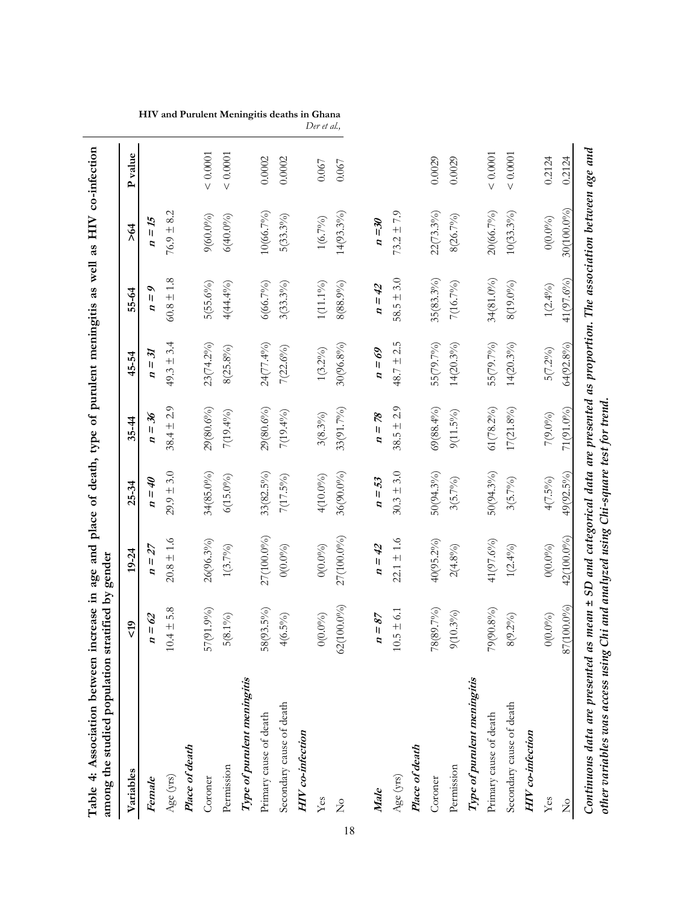| Table 4: Association between<br>among the studied population                                                       | stratified by gender | increase in age and place of death, type of purulent meningitis as well as HIV co-infection        |                |                |                |                           |                |          |
|--------------------------------------------------------------------------------------------------------------------|----------------------|----------------------------------------------------------------------------------------------------|----------------|----------------|----------------|---------------------------|----------------|----------|
| Variables                                                                                                          | $\frac{1}{2}$        | 19-24                                                                                              | $25 - 34$      | $35 - 44$      | 45-54          | 55-64                     | $\frac{1}{2}$  | P value  |
| Female                                                                                                             | $n=62$               | $n = 27$                                                                                           | $\theta t = u$ | $n = 36$       | $n=31$         | $\mathbf{v} = \mathbf{v}$ | $n = 15$       |          |
| Age (yrs)                                                                                                          | $10.4 \pm 5.8$       | $20.8 \pm 1.6$                                                                                     | $29.9 \pm 3.0$ | $38.4 \pm 2.9$ | $49.3 \pm 3.4$ | $60.8 \pm 1.8$            | $76.9 \pm 8.2$ |          |
| Place of death                                                                                                     |                      |                                                                                                    |                |                |                |                           |                |          |
| Coroner                                                                                                            | $57(91.9\%)$         | $26(96.3\%)$                                                                                       | 34(85.0%)      | 29(80.6%)      | $23(74.2\%)$   | $5(55.6\%)$               | $9(60.0\%)$    | < 0.0001 |
| Permission                                                                                                         | $5(8.1\%)$           | $1(3.7\%)$                                                                                         | $6(15.0\%)$    | $7(19.4\%)$    | $8(25.8\%)$    | $4(44.4\%)$               | $6(40.0\%)$    | < 0.0001 |
| Type of purulent meningitis                                                                                        |                      |                                                                                                    |                |                |                |                           |                |          |
| Primary cause of death                                                                                             | $58(93.5\%)$         | 27(100.0%)                                                                                         | $33(82.5\%)$   | $29(80.6\%)$   | $24(77.4\%)$   | $6(66.7\%)$               | 10(66.7%)      | 0.0002   |
| Secondary cause of death                                                                                           | $4(6.5\%)$           | $0(0.0\%)$                                                                                         | $7(17.5\%)$    | $7(19.4\%)$    | $7(22.6\%)$    | $3(33.3\%)$               | $5(33.3\%)$    | 0.0002   |
| HIV co-infection                                                                                                   |                      |                                                                                                    |                |                |                |                           |                |          |
| Yes                                                                                                                | $0(0.0\%)$           | $0(0.0\%)$                                                                                         | $4(10.0\%)$    | 3(8.3%)        | $1(3.2\%)$     | $1(11.1\%)$               | $1(6.7\%)$     | 0.067    |
| $\mathsf{S}^{\circ}$                                                                                               | 62(100.0%)           | 27(100.0%)                                                                                         | $36(90.0\%)$   | 33(91.7%)      | 30(96.8%)      | $8(88.9\%)$               | $14(93.3\%)$   | 0.067    |
|                                                                                                                    |                      |                                                                                                    |                |                |                |                           |                |          |
| Male                                                                                                               | $n = 87$             | $n = 42$                                                                                           | $n=53$         | $n = 78$       | $U = 69$       | $n = 42$                  | $n = 30$       |          |
| Age (yrs)                                                                                                          | $10.5 \pm 6.1$       | $22.1 \pm 1.6$                                                                                     | $30.3 \pm 3.0$ | $38.5 \pm 2.9$ | $48.7 \pm 2.5$ | $58.5 \pm 3.0$            | $73.2 \pm 7.9$ |          |
| Place of death                                                                                                     |                      |                                                                                                    |                |                |                |                           |                |          |
| Coroner                                                                                                            | 78(89.7%)            | $40(95.2\%)$                                                                                       | $50(94.3\%)$   | $69(88.4\%)$   | 55(79.7%)      | $35(83.3\%)$              | $22(73.3\%)$   | 0.0029   |
| Permission                                                                                                         | $9(10.3\%)$          | $2(4.8\%)$                                                                                         | $3(5.7\%)$     | $9(11.5\%)$    | $14(20.3\%)$   | $7(16.7\%)$               | 8(26.7%)       | 0.0029   |
| Type of purulent meningitis                                                                                        |                      |                                                                                                    |                |                |                |                           |                |          |
| Primary cause of death                                                                                             | $79(90.8\%)$         | 41(97.6%)                                                                                          | $50(94.3\%)$   | $61(78.2\%)$   | 55(79.7%)      | 34(81.0%)                 | 20(66.7%)      | < 0.0001 |
| Secondary cause of death                                                                                           | $8(9.2\%)$           | $1(2.4\%)$                                                                                         | $3(5.7\%)$     | $17(21.8\%)$   | $14(20.3\%)$   | $8(19.0\%)$               | $10(33.3\%)$   | < 0.0001 |
| HIV co-infection                                                                                                   |                      |                                                                                                    |                |                |                |                           |                |          |
| Yes                                                                                                                | $0(0.0\%)$           | $0(0.0\%)$                                                                                         | $4(7.5\%)$     | $7(9.0\%)$     | $5(7.2\%)$     | $1(2.4\%)$                | $0(0.0\%)$     | 0.2124   |
| $\frac{1}{2}$                                                                                                      | 87(100.0%)           | 42(100.0%)                                                                                         | 49(92.5%)      | 71(91.0%)      | $64(92.8\%)$   | 41(97.6%)                 | 30(100.0%)     | 0.2124   |
| other variables was access using Chi and analyzed using Chi-square test for trend<br>Continuous data are presented |                      | as mean $\pm$ SD and categorical data are presented as proportion. The association between age and |                |                |                |                           |                |          |

**HIV and Purulent Meningitis deaths in Ghana**

*Der et al.,*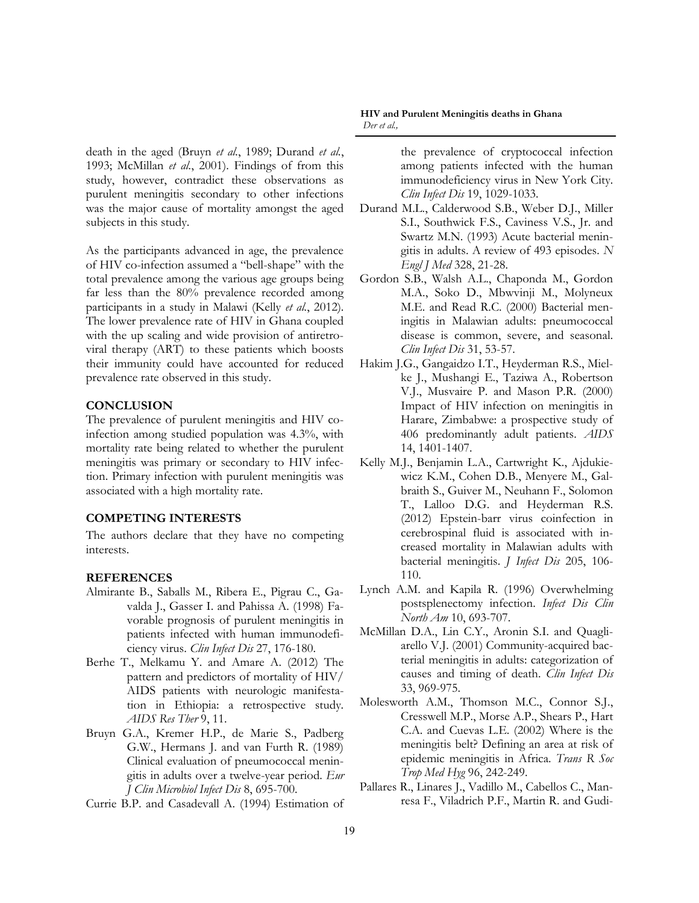death in the aged (Bruyn *et al.*, 1989; Durand *et al.*, 1993; McMillan *et al.*, 2001). Findings of from this study, however, contradict these observations as purulent meningitis secondary to other infections was the major cause of mortality amongst the aged subjects in this study.

As the participants advanced in age, the prevalence of HIV co-infection assumed a "bell-shape" with the total prevalence among the various age groups being far less than the 80% prevalence recorded among participants in a study in Malawi (Kelly *et al.*, 2012). The lower prevalence rate of HIV in Ghana coupled with the up scaling and wide provision of antiretroviral therapy (ART) to these patients which boosts their immunity could have accounted for reduced prevalence rate observed in this study.

#### **CONCLUSION**

The prevalence of purulent meningitis and HIV coinfection among studied population was 4.3%, with mortality rate being related to whether the purulent meningitis was primary or secondary to HIV infection. Primary infection with purulent meningitis was associated with a high mortality rate.

#### **COMPETING INTERESTS**

The authors declare that they have no competing interests.

#### **REFERENCES**

- Almirante B., Saballs M., Ribera E., Pigrau C., Gavalda J., Gasser I. and Pahissa A. (1998) Favorable prognosis of purulent meningitis in patients infected with human immunodeficiency virus. *Clin Infect Dis* 27, 176-180.
- Berhe T., Melkamu Y. and Amare A. (2012) The pattern and predictors of mortality of HIV/ AIDS patients with neurologic manifestation in Ethiopia: a retrospective study. *AIDS Res Ther* 9, 11.
- Bruyn G.A., Kremer H.P., de Marie S., Padberg G.W., Hermans J. and van Furth R. (1989) Clinical evaluation of pneumococcal meningitis in adults over a twelve-year period. *Eur J Clin Microbiol Infect Dis* 8, 695-700.
- Currie B.P. and Casadevall A. (1994) Estimation of

#### **HIV and Purulent Meningitis deaths in Ghana** *Der et al.,*

the prevalence of cryptococcal infection among patients infected with the human immunodeficiency virus in New York City. *Clin Infect Dis* 19, 1029-1033.

- Durand M.L., Calderwood S.B., Weber D.J., Miller S.I., Southwick F.S., Caviness V.S., Jr. and Swartz M.N. (1993) Acute bacterial meningitis in adults. A review of 493 episodes. *N Engl J Med* 328, 21-28.
- Gordon S.B., Walsh A.L., Chaponda M., Gordon M.A., Soko D., Mbwvinji M., Molyneux M.E. and Read R.C. (2000) Bacterial meningitis in Malawian adults: pneumococcal disease is common, severe, and seasonal. *Clin Infect Dis* 31, 53-57.
- Hakim J.G., Gangaidzo I.T., Heyderman R.S., Mielke J., Mushangi E., Taziwa A., Robertson V.J., Musvaire P. and Mason P.R. (2000) Impact of HIV infection on meningitis in Harare, Zimbabwe: a prospective study of 406 predominantly adult patients. *AIDS* 14, 1401-1407.
- Kelly M.J., Benjamin L.A., Cartwright K., Ajdukiewicz K.M., Cohen D.B., Menyere M., Galbraith S., Guiver M., Neuhann F., Solomon T., Lalloo D.G. and Heyderman R.S. (2012) Epstein-barr virus coinfection in cerebrospinal fluid is associated with increased mortality in Malawian adults with bacterial meningitis. *J Infect Dis* 205, 106- 110.
- Lynch A.M. and Kapila R. (1996) Overwhelming postsplenectomy infection. *Infect Dis Clin North Am* 10, 693-707.
- McMillan D.A., Lin C.Y., Aronin S.I. and Quagliarello V.J. (2001) Community-acquired bacterial meningitis in adults: categorization of causes and timing of death. *Clin Infect Dis* 33, 969-975.
- Molesworth A.M., Thomson M.C., Connor S.J., Cresswell M.P., Morse A.P., Shears P., Hart C.A. and Cuevas L.E. (2002) Where is the meningitis belt? Defining an area at risk of epidemic meningitis in Africa. *Trans R Soc Trop Med Hyg* 96, 242-249.
- Pallares R., Linares J., Vadillo M., Cabellos C., Manresa F., Viladrich P.F., Martin R. and Gudi-